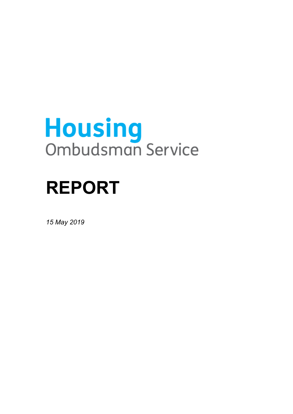# **Housing**<br>Ombudsman Service

## **REPORT**

*15 May 2019*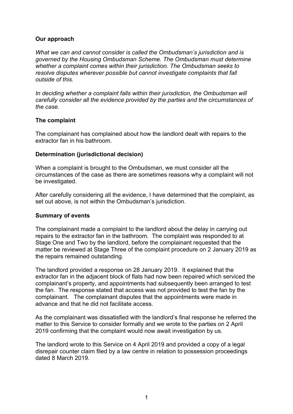#### **Our approach**

*What we can and cannot consider is called the Ombudsman's jurisdiction and is governed by the Housing Ombudsman Scheme. The Ombudsman must determine whether a complaint comes within their jurisdiction. The Ombudsman seeks to resolve disputes wherever possible but cannot investigate complaints that fall outside of this.* 

 *carefully consider all the evidence provided by the parties and the circumstances of In deciding whether a complaint falls within their jurisdiction, the Ombudsman will the case.* 

#### **The complaint**

 The complainant has complained about how the landlord dealt with repairs to the extractor fan in his bathroom.

#### **Determination (jurisdictional decision)**

When a complaint is brought to the Ombudsman, we must consider all the circumstances of the case as there are sometimes reasons why a complaint will not be investigated.

After carefully considering all the evidence, I have determined that the complaint, as set out above, is not within the Ombudsman's jurisdiction.

#### **Summary of events**

 repairs to the extractor fan in the bathroom. The complaint was responded to at Stage One and Two by the landlord, before the complainant requested that the The complainant made a complaint to the landlord about the delay in carrying out matter be reviewed at Stage Three of the complaint procedure on 2 January 2019 as the repairs remained outstanding.

The landlord provided a response on 28 January 2019. It explained that the extractor fan in the adjacent block of flats had now been repaired which serviced the complainant's property, and appointments had subsequently been arranged to test the fan. The response stated that access was not provided to test the fan by the complainant. The complainant disputes that the appointments were made in advance and that he did not facilitate access.

As the complainant was dissatisfied with the landlord's final response he referred the matter to this Service to consider formally and we wrote to the parties on 2 April 2019 confirming that the complaint would now await investigation by us.

 The landlord wrote to this Service on 4 April 2019 and provided a copy of a legal disrepair counter claim filed by a law centre in relation to possession proceedings dated 8 March 2019.